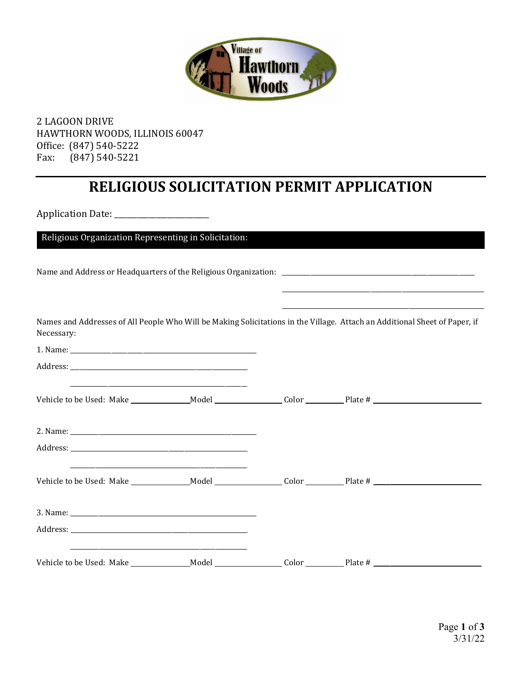

2 LAGOON DRIVE HAWTHORN WOODS, ILLINOIS 60047 Office: (847) 540-5222 Fax: (847) 540-5221

## **RELIGIOUS SOLICITATION PERMIT APPLICATION**

Application Date: \_\_\_\_\_\_\_\_\_\_\_\_\_\_\_\_\_\_\_\_\_\_\_\_

Religious Organization Representing in Solicitation:

Name and Address or Headquarters of the Religious Organization: \_\_\_\_\_\_\_\_\_\_\_\_\_\_\_\_\_\_\_\_\_\_\_\_\_\_\_\_\_\_\_\_\_\_\_\_\_\_\_\_\_\_\_\_\_\_\_\_\_\_\_\_\_\_\_\_\_\_\_\_\_

| Names and Addresses of All People Who Will be Making Solicitations in the Village. Attach an Additional Sheet of Paper, if |  |
|----------------------------------------------------------------------------------------------------------------------------|--|
| Necessary:                                                                                                                 |  |

\_\_\_\_\_\_\_\_\_\_\_\_\_\_\_\_\_\_\_\_\_\_\_\_\_\_\_\_\_\_\_\_\_\_\_\_\_\_\_\_\_\_\_\_\_\_\_\_\_\_\_\_\_\_\_\_\_\_\_\_\_\_\_\_ \_\_\_\_\_\_\_\_\_\_\_\_\_\_\_\_\_\_\_\_\_\_\_\_\_\_\_\_\_\_\_\_\_\_\_\_\_\_\_\_\_\_\_\_\_\_\_\_\_\_\_\_\_\_\_\_\_\_\_\_\_\_\_\_